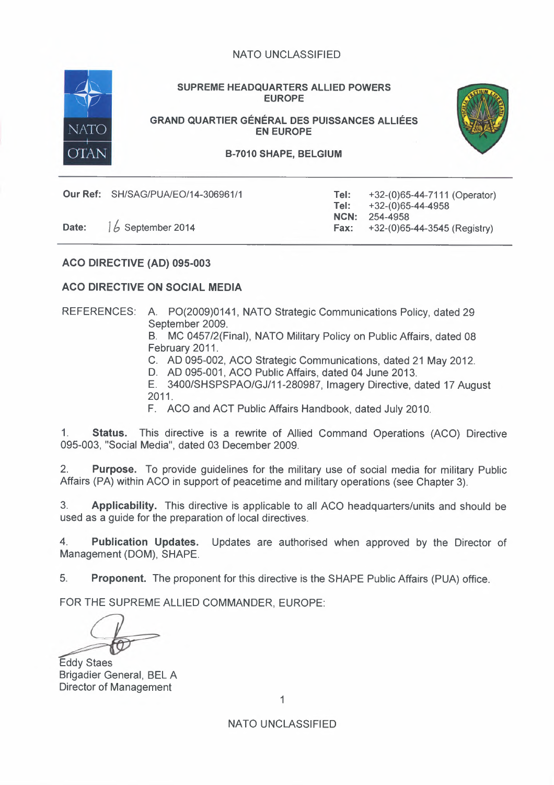

SUPREME HEADQUARTERS ALLIED POWERS EUROPE

GRAND QUARTIER GÉNÉRAL DES PUISSANCES ALLIÉES EN EUROPE



B-7010 SHAPE, BELGIUM

**Our Ref:** SH/SAG/PUA/EO/14-306961/1 Tel:

Tel: NCN: Fax: +32-(0)65-44-7111 (Operator) +32-(0)65-44-4958 254-4958 **Date:**  $1/6$  September 2014 **Fax:** +32-(0)65-44-3545 (Registry)

ACQ DIRECTIVE (AD) 095-003

# ACQ DIRECTIVE ON SOCIAL MEDIA

REFERENCES: A. PO(2009)0141, NATO Strategic Communications Policy, dated 29 September 2009.

B. MC 0457/2(Final), NATO Military Policy on Public Affairs, dated 08 February 2011.

- C. AD 095-002, ACO Strategic Communications, dated 21 May 2012.
- D. AD 095-001, ACO Public Affairs, dated 04 June 2013.

E. 3400/SHSPSPAO/GJ/11-280987, Imagery Directive, dated 17 August 2011.

F. ACO and ACT Public Affairs Handbook, dated July 2010.

1. Status. This directive is a rewrite of Allied Command Operations (ACO) Directive 095-003, "Social Media", dated 03 December 2009.

2. Purpose. To provide guidelines for the military use of social media for military Public Affairs (PA) within ACO in support of peacetime and military operations (see Chapter 3).

3. Applicability. This directive is applicable to all ACO headquarters/units and should be used as a guide for the preparation of local directives.

4. Publication Updates. Updates are authorised when approved by the Director of Management (DOM), SHAPE.

5. Proponent. The proponent for this directive is the SHAPE Public Affairs (PUA) office.

FOR THE SUPREME ALLIED COMMANDER, EUROPE:

Eddy Staes Brigadier General, BEL A Director of Management

1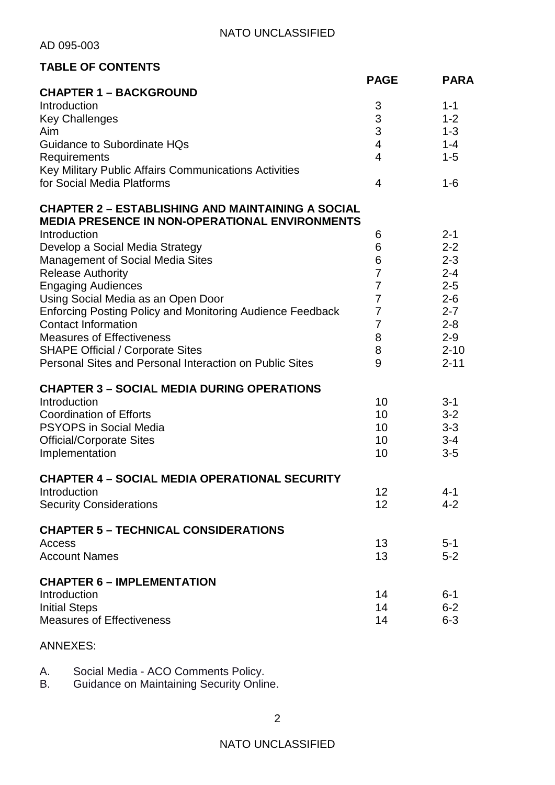AD 095-003

# **TABLE OF CONTENTS**

| I ABLE UF GUNTENTS                                                                                                |                          |             |
|-------------------------------------------------------------------------------------------------------------------|--------------------------|-------------|
|                                                                                                                   | <b>PAGE</b>              | <b>PARA</b> |
| <b>CHAPTER 1 - BACKGROUND</b>                                                                                     |                          |             |
| Introduction                                                                                                      | 3                        | $1 - 1$     |
| <b>Key Challenges</b>                                                                                             | 3                        | $1 - 2$     |
| Aim                                                                                                               | 3                        | $1 - 3$     |
| <b>Guidance to Subordinate HQs</b>                                                                                | $\overline{\mathcal{A}}$ | $1 - 4$     |
| Requirements                                                                                                      | $\overline{4}$           | $1 - 5$     |
| Key Military Public Affairs Communications Activities                                                             |                          |             |
| for Social Media Platforms                                                                                        | 4                        | $1 - 6$     |
| <b>CHAPTER 2 - ESTABLISHING AND MAINTAINING A SOCIAL</b><br><b>MEDIA PRESENCE IN NON-OPERATIONAL ENVIRONMENTS</b> |                          |             |
| Introduction                                                                                                      | 6                        | $2 - 1$     |
| Develop a Social Media Strategy                                                                                   | 6                        | $2 - 2$     |
| Management of Social Media Sites                                                                                  | 6                        | $2 - 3$     |
| <b>Release Authority</b>                                                                                          | $\overline{7}$           | $2 - 4$     |
| <b>Engaging Audiences</b>                                                                                         | $\overline{7}$           | $2 - 5$     |
| Using Social Media as an Open Door                                                                                | $\overline{7}$           | $2 - 6$     |
| <b>Enforcing Posting Policy and Monitoring Audience Feedback</b>                                                  | 7                        | $2 - 7$     |
| <b>Contact Information</b>                                                                                        | $\overline{7}$           | $2 - 8$     |
| <b>Measures of Effectiveness</b>                                                                                  | 8                        | $2 - 9$     |
| <b>SHAPE Official / Corporate Sites</b>                                                                           | 8                        | $2 - 10$    |
| Personal Sites and Personal Interaction on Public Sites                                                           | 9                        | $2 - 11$    |
| <b>CHAPTER 3 - SOCIAL MEDIA DURING OPERATIONS</b>                                                                 |                          |             |
| Introduction                                                                                                      | 10                       | $3 - 1$     |
| <b>Coordination of Efforts</b>                                                                                    | 10                       | $3 - 2$     |
| <b>PSYOPS in Social Media</b>                                                                                     | 10                       | $3 - 3$     |
| <b>Official/Corporate Sites</b>                                                                                   | 10                       | $3 - 4$     |
| Implementation                                                                                                    | 10                       | $3-5$       |
|                                                                                                                   |                          |             |
| <b>CHAPTER 4 - SOCIAL MEDIA OPERATIONAL SECURITY</b>                                                              |                          |             |
| Introduction                                                                                                      | 12                       | $4 - 1$     |
| <b>Security Considerations</b>                                                                                    | 12                       | $4 - 2$     |
| <b>CHAPTER 5 - TECHNICAL CONSIDERATIONS</b>                                                                       |                          |             |
| Access                                                                                                            | 13                       | $5 - 1$     |
| <b>Account Names</b>                                                                                              | 13                       | $5 - 2$     |
| <b>CHAPTER 6 - IMPLEMENTATION</b>                                                                                 |                          |             |
| Introduction                                                                                                      | 14                       | $6 - 1$     |
| <b>Initial Steps</b>                                                                                              | 14                       | $6 - 2$     |
| <b>Measures of Effectiveness</b>                                                                                  | 14                       | $6 - 3$     |
|                                                                                                                   |                          |             |

# ANNEXES:

A. Social Media - ACO Comments Policy.

B. Guidance on Maintaining Security Online.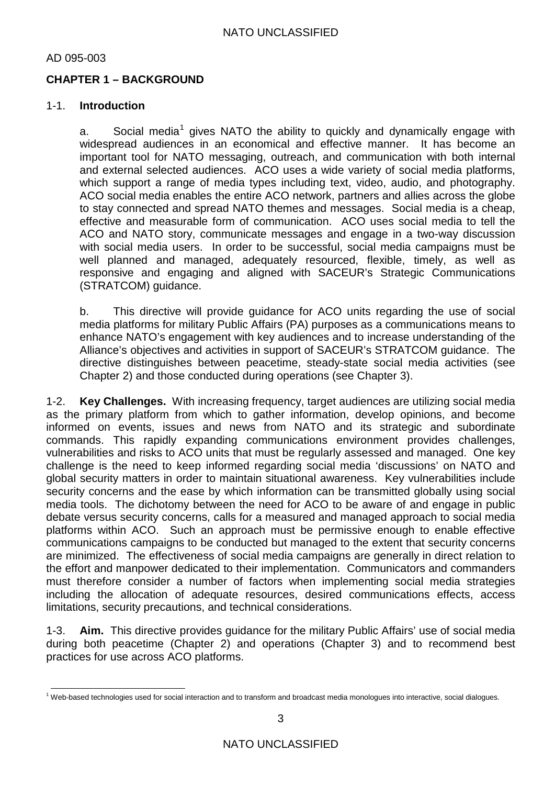# **CHAPTER 1 – BACKGROUND**

#### 1-1. **Introduction**

a. Social media<sup>[1](#page-2-0)</sup> gives NATO the ability to quickly and dynamically engage with widespread audiences in an economical and effective manner. It has become an important tool for NATO messaging, outreach, and communication with both internal and external selected audiences. ACO uses a wide variety of social media platforms, which support a range of media types including text, video, audio, and photography. ACO social media enables the entire ACO network, partners and allies across the globe to stay connected and spread NATO themes and messages. Social media is a cheap, effective and measurable form of communication. ACO uses social media to tell the ACO and NATO story, communicate messages and engage in a two-way discussion with social media users. In order to be successful, social media campaigns must be well planned and managed, adequately resourced, flexible, timely, as well as responsive and engaging and aligned with SACEUR's Strategic Communications (STRATCOM) guidance.

b. This directive will provide guidance for ACO units regarding the use of social media platforms for military Public Affairs (PA) purposes as a communications means to enhance NATO's engagement with key audiences and to increase understanding of the Alliance's objectives and activities in support of SACEUR's STRATCOM guidance. The directive distinguishes between peacetime, steady-state social media activities (see Chapter 2) and those conducted during operations (see Chapter 3).

1-2. **Key Challenges.** With increasing frequency, target audiences are utilizing social media as the primary platform from which to gather information, develop opinions, and become informed on events, issues and news from NATO and its strategic and subordinate commands. This rapidly expanding communications environment provides challenges, vulnerabilities and risks to ACO units that must be regularly assessed and managed. One key challenge is the need to keep informed regarding social media 'discussions' on NATO and global security matters in order to maintain situational awareness. Key vulnerabilities include security concerns and the ease by which information can be transmitted globally using social media tools. The dichotomy between the need for ACO to be aware of and engage in public debate versus security concerns, calls for a measured and managed approach to social media platforms within ACO. Such an approach must be permissive enough to enable effective communications campaigns to be conducted but managed to the extent that security concerns are minimized. The effectiveness of social media campaigns are generally in direct relation to the effort and manpower dedicated to their implementation. Communicators and commanders must therefore consider a number of factors when implementing social media strategies including the allocation of adequate resources, desired communications effects, access limitations, security precautions, and technical considerations.

1-3. **Aim.** This directive provides guidance for the military Public Affairs' use of social media during both peacetime (Chapter 2) and operations (Chapter 3) and to recommend best practices for use across ACO platforms.

<span id="page-2-0"></span> $1$  Web-based technologies used for social interaction and to transform and broadcast media monologues into interactive, social dialogues.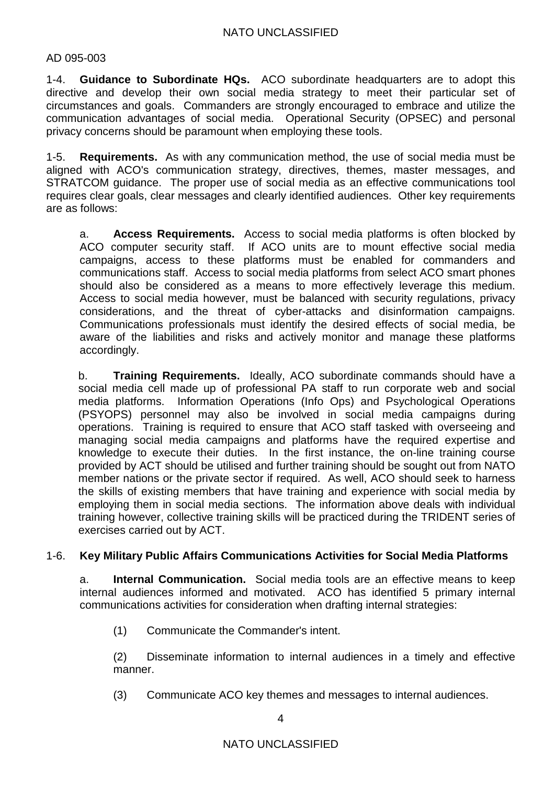1-4. **Guidance to Subordinate HQs.** ACO subordinate headquarters are to adopt this directive and develop their own social media strategy to meet their particular set of circumstances and goals. Commanders are strongly encouraged to embrace and utilize the communication advantages of social media. Operational Security (OPSEC) and personal privacy concerns should be paramount when employing these tools.

1-5. **Requirements.** As with any communication method, the use of social media must be aligned with ACO's communication strategy, directives, themes, master messages, and STRATCOM guidance. The proper use of social media as an effective communications tool requires clear goals, clear messages and clearly identified audiences. Other key requirements are as follows:

a. **Access Requirements.** Access to social media platforms is often blocked by ACO computer security staff. If ACO units are to mount effective social media campaigns, access to these platforms must be enabled for commanders and communications staff. Access to social media platforms from select ACO smart phones should also be considered as a means to more effectively leverage this medium. Access to social media however, must be balanced with security regulations, privacy considerations, and the threat of cyber-attacks and disinformation campaigns. Communications professionals must identify the desired effects of social media, be aware of the liabilities and risks and actively monitor and manage these platforms accordingly.

b. **Training Requirements.** Ideally, ACO subordinate commands should have a social media cell made up of professional PA staff to run corporate web and social media platforms. Information Operations (Info Ops) and Psychological Operations (PSYOPS) personnel may also be involved in social media campaigns during operations. Training is required to ensure that ACO staff tasked with overseeing and managing social media campaigns and platforms have the required expertise and knowledge to execute their duties. In the first instance, the on-line training course provided by ACT should be utilised and further training should be sought out from NATO member nations or the private sector if required. As well, ACO should seek to harness the skills of existing members that have training and experience with social media by employing them in social media sections. The information above deals with individual training however, collective training skills will be practiced during the TRIDENT series of exercises carried out by ACT.

## 1-6. **Key Military Public Affairs Communications Activities for Social Media Platforms**

a. **Internal Communication.** Social media tools are an effective means to keep internal audiences informed and motivated. ACO has identified 5 primary internal communications activities for consideration when drafting internal strategies:

(1) Communicate the Commander's intent.

(2) Disseminate information to internal audiences in a timely and effective manner.

(3) Communicate ACO key themes and messages to internal audiences.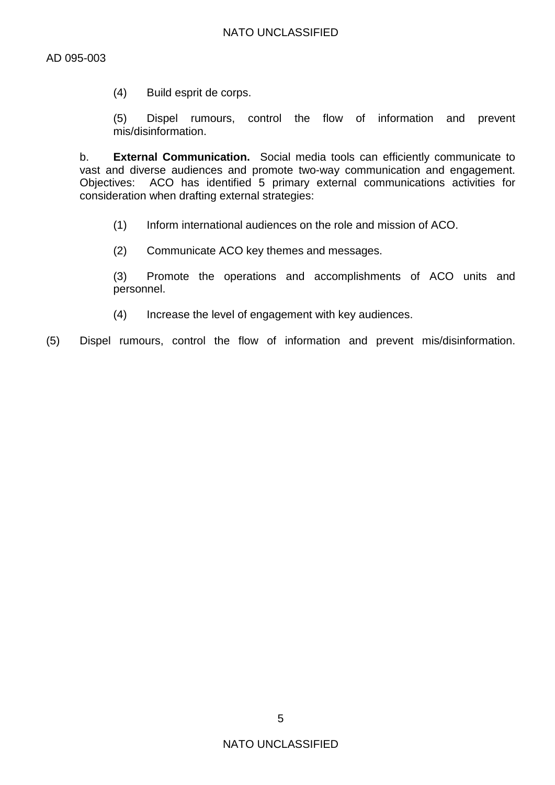(4) Build esprit de corps.

(5) Dispel rumours, control the flow of information and prevent mis/disinformation.

b. **External Communication.** Social media tools can efficiently communicate to vast and diverse audiences and promote two-way communication and engagement. Objectives: ACO has identified 5 primary external communications activities for consideration when drafting external strategies:

- (1) Inform international audiences on the role and mission of ACO.
- (2) Communicate ACO key themes and messages.

(3) Promote the operations and accomplishments of ACO units and personnel.

(4) Increase the level of engagement with key audiences.

(5) Dispel rumours, control the flow of information and prevent mis/disinformation.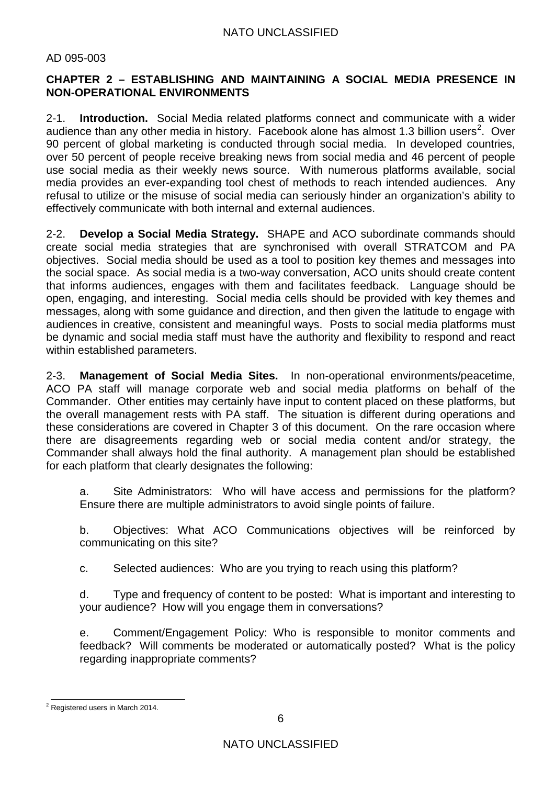# **CHAPTER 2 – ESTABLISHING AND MAINTAINING A SOCIAL MEDIA PRESENCE IN NON-OPERATIONAL ENVIRONMENTS**

2-1. **Introduction.** Social Media related platforms connect and communicate with a wider audience than any other media in history. Facebook alone has almost 1.3 billion users<sup>[2](#page-5-0)</sup>. Over 90 percent of global marketing is conducted through social media. In developed countries, over 50 percent of people receive breaking news from social media and 46 percent of people use social media as their weekly news source. With numerous platforms available, social media provides an ever-expanding tool chest of methods to reach intended audiences. Any refusal to utilize or the misuse of social media can seriously hinder an organization's ability to effectively communicate with both internal and external audiences.

2-2. **Develop a Social Media Strategy.** SHAPE and ACO subordinate commands should create social media strategies that are synchronised with overall STRATCOM and PA objectives. Social media should be used as a tool to position key themes and messages into the social space. As social media is a two-way conversation, ACO units should create content that informs audiences, engages with them and facilitates feedback. Language should be open, engaging, and interesting. Social media cells should be provided with key themes and messages, along with some guidance and direction, and then given the latitude to engage with audiences in creative, consistent and meaningful ways. Posts to social media platforms must be dynamic and social media staff must have the authority and flexibility to respond and react within established parameters.

2-3. **Management of Social Media Sites.** In non-operational environments/peacetime, ACO PA staff will manage corporate web and social media platforms on behalf of the Commander. Other entities may certainly have input to content placed on these platforms, but the overall management rests with PA staff. The situation is different during operations and these considerations are covered in Chapter 3 of this document. On the rare occasion where there are disagreements regarding web or social media content and/or strategy, the Commander shall always hold the final authority. A management plan should be established for each platform that clearly designates the following:

a. Site Administrators: Who will have access and permissions for the platform? Ensure there are multiple administrators to avoid single points of failure.

b. Objectives: What ACO Communications objectives will be reinforced by communicating on this site?

c. Selected audiences: Who are you trying to reach using this platform?

d. Type and frequency of content to be posted: What is important and interesting to your audience? How will you engage them in conversations?

e. Comment/Engagement Policy: Who is responsible to monitor comments and feedback? Will comments be moderated or automatically posted? What is the policy regarding inappropriate comments?

<span id="page-5-0"></span> $2$  Registered users in March 2014.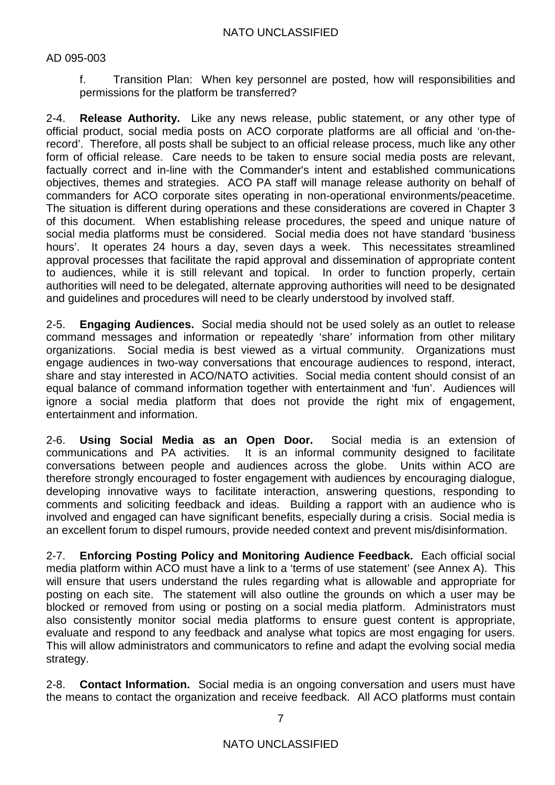f. Transition Plan: When key personnel are posted, how will responsibilities and permissions for the platform be transferred?

2-4. **Release Authority.** Like any news release, public statement, or any other type of official product, social media posts on ACO corporate platforms are all official and 'on-therecord'. Therefore, all posts shall be subject to an official release process, much like any other form of official release. Care needs to be taken to ensure social media posts are relevant, factually correct and in-line with the Commander's intent and established communications objectives, themes and strategies. ACO PA staff will manage release authority on behalf of commanders for ACO corporate sites operating in non-operational environments/peacetime. The situation is different during operations and these considerations are covered in Chapter 3 of this document. When establishing release procedures, the speed and unique nature of social media platforms must be considered. Social media does not have standard 'business hours'. It operates 24 hours a day, seven days a week. This necessitates streamlined approval processes that facilitate the rapid approval and dissemination of appropriate content to audiences, while it is still relevant and topical. In order to function properly, certain authorities will need to be delegated, alternate approving authorities will need to be designated and guidelines and procedures will need to be clearly understood by involved staff.

2-5. **Engaging Audiences.** Social media should not be used solely as an outlet to release command messages and information or repeatedly 'share' information from other military organizations. Social media is best viewed as a virtual community. Organizations must engage audiences in two-way conversations that encourage audiences to respond, interact, share and stay interested in ACO/NATO activities. Social media content should consist of an equal balance of command information together with entertainment and 'fun'. Audiences will ignore a social media platform that does not provide the right mix of engagement, entertainment and information.

2-6. **Using Social Media as an Open Door.** Social media is an extension of communications and PA activities. It is an informal community designed to facilitate conversations between people and audiences across the globe. Units within ACO are therefore strongly encouraged to foster engagement with audiences by encouraging dialogue, developing innovative ways to facilitate interaction, answering questions, responding to comments and soliciting feedback and ideas. Building a rapport with an audience who is involved and engaged can have significant benefits, especially during a crisis. Social media is an excellent forum to dispel rumours, provide needed context and prevent mis/disinformation.

2-7. **Enforcing Posting Policy and Monitoring Audience Feedback.** Each official social media platform within ACO must have a link to a 'terms of use statement' (see Annex A). This will ensure that users understand the rules regarding what is allowable and appropriate for posting on each site. The statement will also outline the grounds on which a user may be blocked or removed from using or posting on a social media platform. Administrators must also consistently monitor social media platforms to ensure guest content is appropriate, evaluate and respond to any feedback and analyse what topics are most engaging for users. This will allow administrators and communicators to refine and adapt the evolving social media strategy.

2-8. **Contact Information.** Social media is an ongoing conversation and users must have the means to contact the organization and receive feedback. All ACO platforms must contain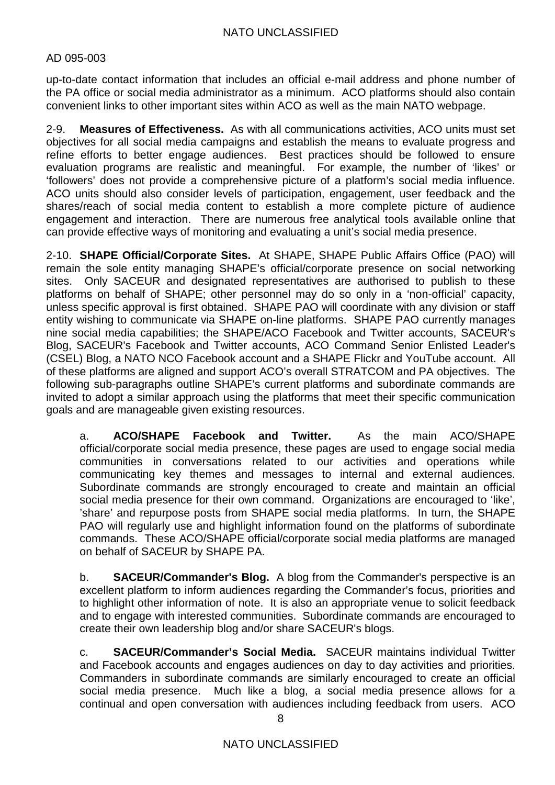up-to-date contact information that includes an official e-mail address and phone number of the PA office or social media administrator as a minimum. ACO platforms should also contain convenient links to other important sites within ACO as well as the main NATO webpage.

2-9. **Measures of Effectiveness.** As with all communications activities, ACO units must set objectives for all social media campaigns and establish the means to evaluate progress and refine efforts to better engage audiences. Best practices should be followed to ensure evaluation programs are realistic and meaningful. For example, the number of 'likes' or 'followers' does not provide a comprehensive picture of a platform's social media influence. ACO units should also consider levels of participation, engagement, user feedback and the shares/reach of social media content to establish a more complete picture of audience engagement and interaction. There are numerous free analytical tools available online that can provide effective ways of monitoring and evaluating a unit's social media presence.

2-10. **SHAPE Official/Corporate Sites.** At SHAPE, SHAPE Public Affairs Office (PAO) will remain the sole entity managing SHAPE's official/corporate presence on social networking sites. Only SACEUR and designated representatives are authorised to publish to these platforms on behalf of SHAPE; other personnel may do so only in a 'non-official' capacity, unless specific approval is first obtained. SHAPE PAO will coordinate with any division or staff entity wishing to communicate via SHAPE on-line platforms. SHAPE PAO currently manages nine social media capabilities; the SHAPE/ACO Facebook and Twitter accounts, SACEUR's Blog, SACEUR's Facebook and Twitter accounts, ACO Command Senior Enlisted Leader's (CSEL) Blog, a NATO NCO Facebook account and a SHAPE Flickr and YouTube account. All of these platforms are aligned and support ACO's overall STRATCOM and PA objectives. The following sub-paragraphs outline SHAPE's current platforms and subordinate commands are invited to adopt a similar approach using the platforms that meet their specific communication goals and are manageable given existing resources.

a. **ACO/SHAPE Facebook and Twitter.** As the main ACO/SHAPE official/corporate social media presence, these pages are used to engage social media communities in conversations related to our activities and operations while communicating key themes and messages to internal and external audiences. Subordinate commands are strongly encouraged to create and maintain an official social media presence for their own command. Organizations are encouraged to 'like', 'share' and repurpose posts from SHAPE social media platforms. In turn, the SHAPE PAO will regularly use and highlight information found on the platforms of subordinate commands. These ACO/SHAPE official/corporate social media platforms are managed on behalf of SACEUR by SHAPE PA.

b. **SACEUR/Commander's Blog.** A blog from the Commander's perspective is an excellent platform to inform audiences regarding the Commander's focus, priorities and to highlight other information of note. It is also an appropriate venue to solicit feedback and to engage with interested communities. Subordinate commands are encouraged to create their own leadership blog and/or share SACEUR's blogs.

c. **SACEUR/Commander's Social Media.** SACEUR maintains individual Twitter and Facebook accounts and engages audiences on day to day activities and priorities. Commanders in subordinate commands are similarly encouraged to create an official social media presence. Much like a blog, a social media presence allows for a continual and open conversation with audiences including feedback from users. ACO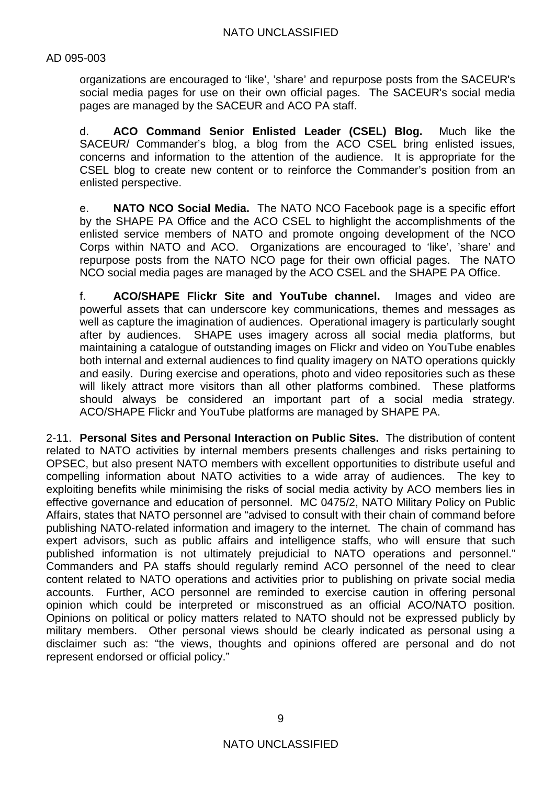organizations are encouraged to 'like', 'share' and repurpose posts from the SACEUR's social media pages for use on their own official pages. The SACEUR's social media pages are managed by the SACEUR and ACO PA staff.

d. **ACO Command Senior Enlisted Leader (CSEL) Blog.** Much like the SACEUR/ Commander's blog, a blog from the ACO CSEL bring enlisted issues. concerns and information to the attention of the audience. It is appropriate for the CSEL blog to create new content or to reinforce the Commander's position from an enlisted perspective.

e. **NATO NCO Social Media.** The NATO NCO Facebook page is a specific effort by the SHAPE PA Office and the ACO CSEL to highlight the accomplishments of the enlisted service members of NATO and promote ongoing development of the NCO Corps within NATO and ACO. Organizations are encouraged to 'like', 'share' and repurpose posts from the NATO NCO page for their own official pages. The NATO NCO social media pages are managed by the ACO CSEL and the SHAPE PA Office.

f. **ACO/SHAPE Flickr Site and YouTube channel.** Images and video are powerful assets that can underscore key communications, themes and messages as well as capture the imagination of audiences. Operational imagery is particularly sought after by audiences. SHAPE uses imagery across all social media platforms, but maintaining a catalogue of outstanding images on Flickr and video on YouTube enables both internal and external audiences to find quality imagery on NATO operations quickly and easily. During exercise and operations, photo and video repositories such as these will likely attract more visitors than all other platforms combined. These platforms should always be considered an important part of a social media strategy. ACO/SHAPE Flickr and YouTube platforms are managed by SHAPE PA.

2-11. **Personal Sites and Personal Interaction on Public Sites.** The distribution of content related to NATO activities by internal members presents challenges and risks pertaining to OPSEC, but also present NATO members with excellent opportunities to distribute useful and compelling information about NATO activities to a wide array of audiences. The key to exploiting benefits while minimising the risks of social media activity by ACO members lies in effective governance and education of personnel. MC 0475/2, NATO Military Policy on Public Affairs, states that NATO personnel are "advised to consult with their chain of command before publishing NATO-related information and imagery to the internet. The chain of command has expert advisors, such as public affairs and intelligence staffs, who will ensure that such published information is not ultimately prejudicial to NATO operations and personnel." Commanders and PA staffs should regularly remind ACO personnel of the need to clear content related to NATO operations and activities prior to publishing on private social media accounts. Further, ACO personnel are reminded to exercise caution in offering personal opinion which could be interpreted or misconstrued as an official ACO/NATO position. Opinions on political or policy matters related to NATO should not be expressed publicly by military members. Other personal views should be clearly indicated as personal using a disclaimer such as: "the views, thoughts and opinions offered are personal and do not represent endorsed or official policy."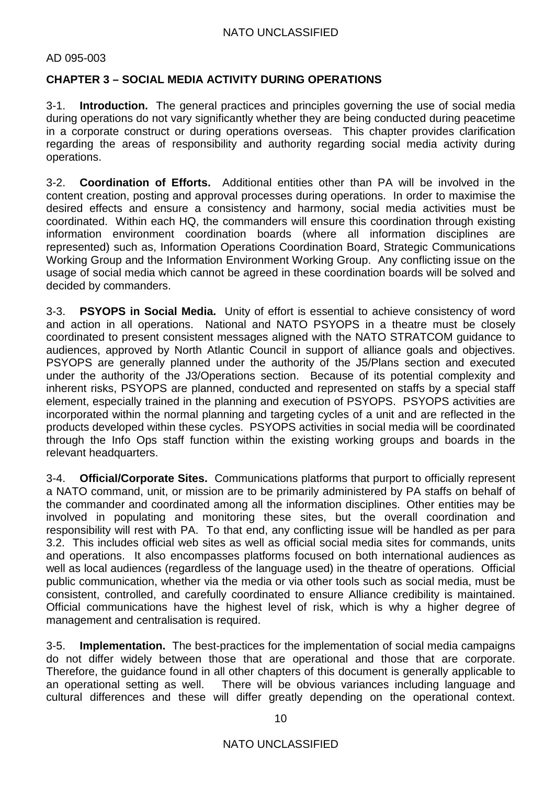#### AD 095-003

# **CHAPTER 3 – SOCIAL MEDIA ACTIVITY DURING OPERATIONS**

3-1. **Introduction.** The general practices and principles governing the use of social media during operations do not vary significantly whether they are being conducted during peacetime in a corporate construct or during operations overseas. This chapter provides clarification regarding the areas of responsibility and authority regarding social media activity during operations.

3-2. **Coordination of Efforts.** Additional entities other than PA will be involved in the content creation, posting and approval processes during operations. In order to maximise the desired effects and ensure a consistency and harmony, social media activities must be coordinated. Within each HQ, the commanders will ensure this coordination through existing information environment coordination boards (where all information disciplines are represented) such as, Information Operations Coordination Board, Strategic Communications Working Group and the Information Environment Working Group. Any conflicting issue on the usage of social media which cannot be agreed in these coordination boards will be solved and decided by commanders.

3-3. **PSYOPS in Social Media.** Unity of effort is essential to achieve consistency of word and action in all operations. National and NATO PSYOPS in a theatre must be closely coordinated to present consistent messages aligned with the NATO STRATCOM guidance to audiences, approved by North Atlantic Council in support of alliance goals and objectives. PSYOPS are generally planned under the authority of the J5/Plans section and executed under the authority of the J3/Operations section. Because of its potential complexity and inherent risks, PSYOPS are planned, conducted and represented on staffs by a special staff element, especially trained in the planning and execution of PSYOPS. PSYOPS activities are incorporated within the normal planning and targeting cycles of a unit and are reflected in the products developed within these cycles. PSYOPS activities in social media will be coordinated through the Info Ops staff function within the existing working groups and boards in the relevant headquarters.

3-4. **Official/Corporate Sites.** Communications platforms that purport to officially represent a NATO command, unit, or mission are to be primarily administered by PA staffs on behalf of the commander and coordinated among all the information disciplines. Other entities may be involved in populating and monitoring these sites, but the overall coordination and responsibility will rest with PA. To that end, any conflicting issue will be handled as per para 3.2. This includes official web sites as well as official social media sites for commands, units and operations. It also encompasses platforms focused on both international audiences as well as local audiences (regardless of the language used) in the theatre of operations. Official public communication, whether via the media or via other tools such as social media, must be consistent, controlled, and carefully coordinated to ensure Alliance credibility is maintained. Official communications have the highest level of risk, which is why a higher degree of management and centralisation is required.

3-5. **Implementation.** The best-practices for the implementation of social media campaigns do not differ widely between those that are operational and those that are corporate. Therefore, the guidance found in all other chapters of this document is generally applicable to an operational setting as well. There will be obvious variances including language and cultural differences and these will differ greatly depending on the operational context.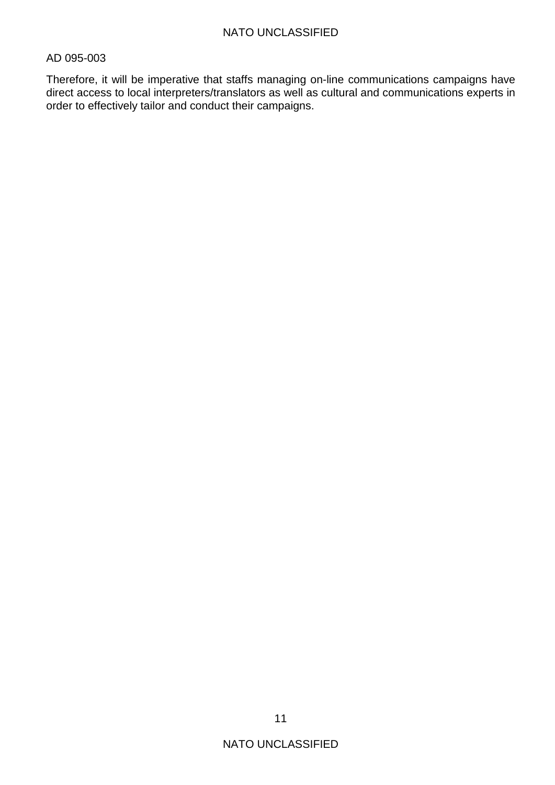Therefore, it will be imperative that staffs managing on-line communications campaigns have direct access to local interpreters/translators as well as cultural and communications experts in order to effectively tailor and conduct their campaigns.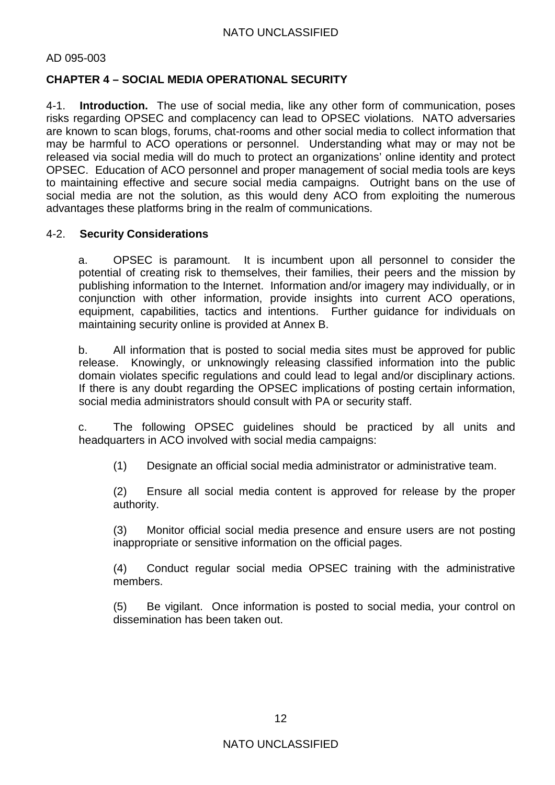### AD 095-003

# **CHAPTER 4 – SOCIAL MEDIA OPERATIONAL SECURITY**

4-1. **Introduction.** The use of social media, like any other form of communication, poses risks regarding OPSEC and complacency can lead to OPSEC violations. NATO adversaries are known to scan blogs, forums, chat-rooms and other social media to collect information that may be harmful to ACO operations or personnel. Understanding what may or may not be released via social media will do much to protect an organizations' online identity and protect OPSEC. Education of ACO personnel and proper management of social media tools are keys to maintaining effective and secure social media campaigns. Outright bans on the use of social media are not the solution, as this would deny ACO from exploiting the numerous advantages these platforms bring in the realm of communications.

#### 4-2. **Security Considerations**

a. OPSEC is paramount. It is incumbent upon all personnel to consider the potential of creating risk to themselves, their families, their peers and the mission by publishing information to the Internet. Information and/or imagery may individually, or in conjunction with other information, provide insights into current ACO operations, equipment, capabilities, tactics and intentions. Further guidance for individuals on maintaining security online is provided at Annex B.

b. All information that is posted to social media sites must be approved for public release. Knowingly, or unknowingly releasing classified information into the public domain violates specific regulations and could lead to legal and/or disciplinary actions. If there is any doubt regarding the OPSEC implications of posting certain information, social media administrators should consult with PA or security staff.

c. The following OPSEC guidelines should be practiced by all units and headquarters in ACO involved with social media campaigns:

(1) Designate an official social media administrator or administrative team.

(2) Ensure all social media content is approved for release by the proper authority.

(3) Monitor official social media presence and ensure users are not posting inappropriate or sensitive information on the official pages.

(4) Conduct regular social media OPSEC training with the administrative members.

(5) Be vigilant. Once information is posted to social media, your control on dissemination has been taken out.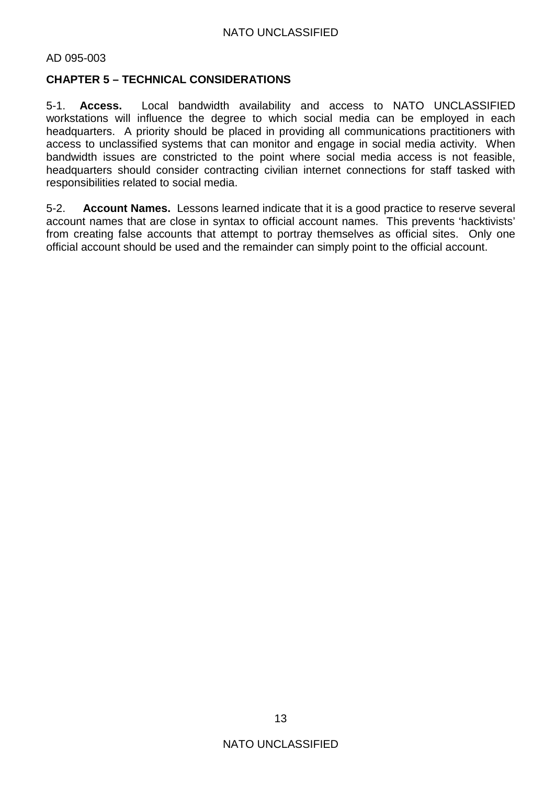## **CHAPTER 5 – TECHNICAL CONSIDERATIONS**

5-1. **Access.** Local bandwidth availability and access to NATO UNCLASSIFIED workstations will influence the degree to which social media can be employed in each headquarters. A priority should be placed in providing all communications practitioners with access to unclassified systems that can monitor and engage in social media activity. When bandwidth issues are constricted to the point where social media access is not feasible, headquarters should consider contracting civilian internet connections for staff tasked with responsibilities related to social media.

5-2. **Account Names.** Lessons learned indicate that it is a good practice to reserve several account names that are close in syntax to official account names. This prevents 'hacktivists' from creating false accounts that attempt to portray themselves as official sites. Only one official account should be used and the remainder can simply point to the official account.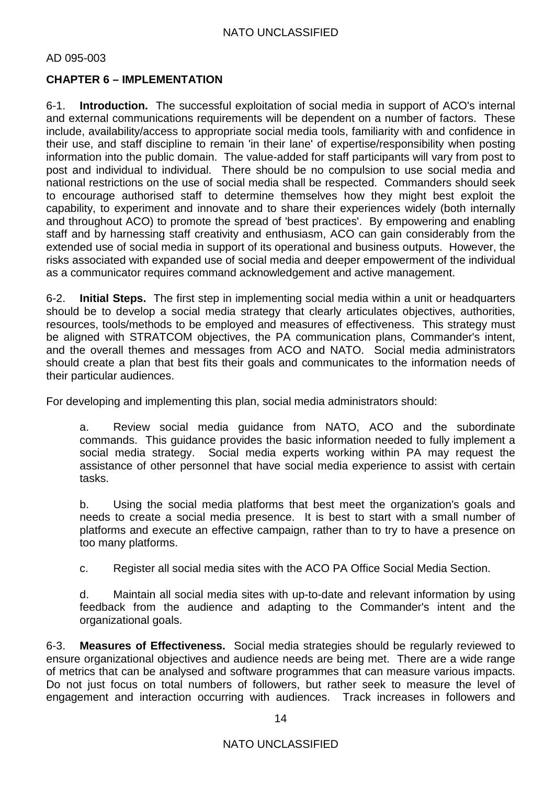# **CHAPTER 6 – IMPLEMENTATION**

6-1. **Introduction.** The successful exploitation of social media in support of ACO's internal and external communications requirements will be dependent on a number of factors. These include, availability/access to appropriate social media tools, familiarity with and confidence in their use, and staff discipline to remain 'in their lane' of expertise/responsibility when posting information into the public domain. The value-added for staff participants will vary from post to post and individual to individual. There should be no compulsion to use social media and national restrictions on the use of social media shall be respected. Commanders should seek to encourage authorised staff to determine themselves how they might best exploit the capability, to experiment and innovate and to share their experiences widely (both internally and throughout ACO) to promote the spread of 'best practices'. By empowering and enabling staff and by harnessing staff creativity and enthusiasm, ACO can gain considerably from the extended use of social media in support of its operational and business outputs. However, the risks associated with expanded use of social media and deeper empowerment of the individual as a communicator requires command acknowledgement and active management.

6-2. **Initial Steps.** The first step in implementing social media within a unit or headquarters should be to develop a social media strategy that clearly articulates objectives, authorities, resources, tools/methods to be employed and measures of effectiveness. This strategy must be aligned with STRATCOM objectives, the PA communication plans, Commander's intent, and the overall themes and messages from ACO and NATO. Social media administrators should create a plan that best fits their goals and communicates to the information needs of their particular audiences.

For developing and implementing this plan, social media administrators should:

a. Review social media guidance from NATO, ACO and the subordinate commands. This guidance provides the basic information needed to fully implement a social media strategy. Social media experts working within PA may request the assistance of other personnel that have social media experience to assist with certain tasks.

b. Using the social media platforms that best meet the organization's goals and needs to create a social media presence. It is best to start with a small number of platforms and execute an effective campaign, rather than to try to have a presence on too many platforms.

c. Register all social media sites with the ACO PA Office Social Media Section.

d. Maintain all social media sites with up-to-date and relevant information by using feedback from the audience and adapting to the Commander's intent and the organizational goals.

6-3. **Measures of Effectiveness.** Social media strategies should be regularly reviewed to ensure organizational objectives and audience needs are being met. There are a wide range of metrics that can be analysed and software programmes that can measure various impacts. Do not just focus on total numbers of followers, but rather seek to measure the level of engagement and interaction occurring with audiences. Track increases in followers and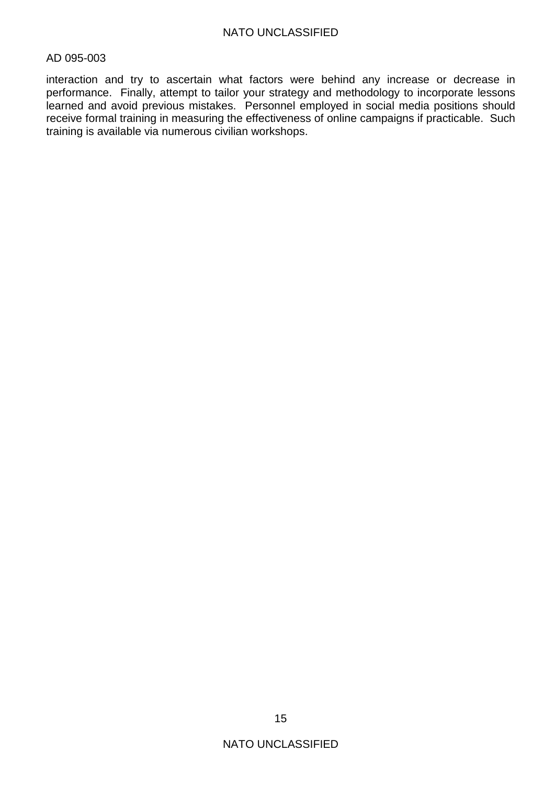interaction and try to ascertain what factors were behind any increase or decrease in performance. Finally, attempt to tailor your strategy and methodology to incorporate lessons learned and avoid previous mistakes. Personnel employed in social media positions should receive formal training in measuring the effectiveness of online campaigns if practicable. Such training is available via numerous civilian workshops.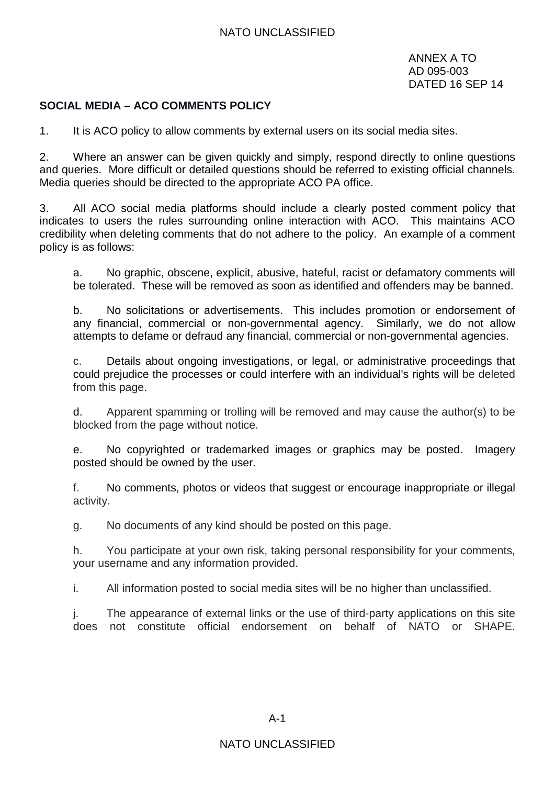ANNEX A TO AD 095-003 DATED 16 SEP 14

#### **SOCIAL MEDIA – ACO COMMENTS POLICY**

1. It is ACO policy to allow comments by external users on its social media sites.

2. Where an answer can be given quickly and simply, respond directly to online questions and queries. More difficult or detailed questions should be referred to existing official channels. Media queries should be directed to the appropriate ACO PA office.

3. All ACO social media platforms should include a clearly posted comment policy that indicates to users the rules surrounding online interaction with ACO. This maintains ACO credibility when deleting comments that do not adhere to the policy. An example of a comment policy is as follows:

a. No graphic, obscene, explicit, abusive, hateful, racist or defamatory comments will be tolerated. These will be removed as soon as identified and offenders may be banned.

b. No solicitations or advertisements. This includes promotion or endorsement of any financial, commercial or non-governmental agency. Similarly, we do not allow attempts to defame or defraud any financial, commercial or non-governmental agencies.

c. Details about ongoing investigations, or legal, or administrative proceedings that could prejudice the processes or could interfere with an individual's rights will be deleted from this page.

d. Apparent spamming or trolling will be removed and may cause the author(s) to be blocked from the page without notice.

e. No copyrighted or trademarked images or graphics may be posted. Imagery posted should be owned by the user.

f. No comments, photos or videos that suggest or encourage inappropriate or illegal activity.

g. No documents of any kind should be posted on this page.

h. You participate at your own risk, taking personal responsibility for your comments, your username and any information provided.

i. All information posted to social media sites will be no higher than unclassified.

j. The appearance of external links or the use of third-party applications on this site does not constitute official endorsement on behalf of NATO or SHAPE.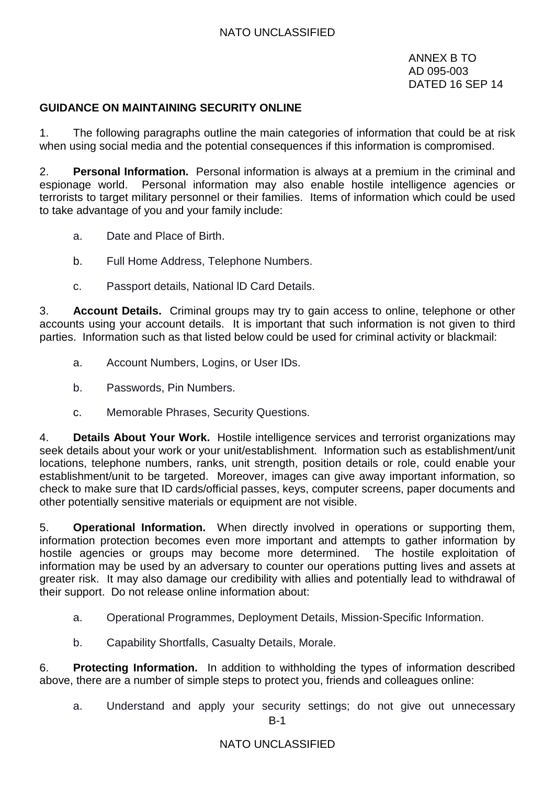ANNEX B TO AD 095-003 DATED 16 SEP 14

# **GUIDANCE ON MAINTAINING SECURITY ONLINE**

1. The following paragraphs outline the main categories of information that could be at risk when using social media and the potential consequences if this information is compromised.

2. **Personal Information.** Personal information is always at a premium in the criminal and espionage world. Personal information may also enable hostile intelligence agencies or terrorists to target military personnel or their families. Items of information which could be used to take advantage of you and your family include:

- a. Date and Place of Birth.
- b. Full Home Address, Telephone Numbers.
- c. Passport details, National lD Card Details.

3. **Account Details.** Criminal groups may try to gain access to online, telephone or other accounts using your account details. It is important that such information is not given to third parties. Information such as that listed below could be used for criminal activity or blackmail:

- a. Account Numbers, Logins, or User IDs.
- b. Passwords, Pin Numbers.
- c. Memorable Phrases, Security Questions.

4. **Details About Your Work.** Hostile intelligence services and terrorist organizations may seek details about your work or your unit/establishment. Information such as establishment/unit locations, telephone numbers, ranks, unit strength, position details or role, could enable your establishment/unit to be targeted. Moreover, images can give away important information, so check to make sure that ID cards/official passes, keys, computer screens, paper documents and other potentially sensitive materials or equipment are not visible.

5. **Operational Information.** When directly involved in operations or supporting them, information protection becomes even more important and attempts to gather information by hostile agencies or groups may become more determined. The hostile exploitation of information may be used by an adversary to counter our operations putting lives and assets at greater risk. It may also damage our credibility with allies and potentially lead to withdrawal of their support. Do not release online information about:

- a. Operational Programmes, Deployment Details, Mission-Specific Information.
- b. Capability Shortfalls, Casualty Details, Morale.

6. **Protecting Information.** In addition to withholding the types of information described above, there are a number of simple steps to protect you, friends and colleagues online:

B-1 a. Understand and apply your security settings; do not give out unnecessary